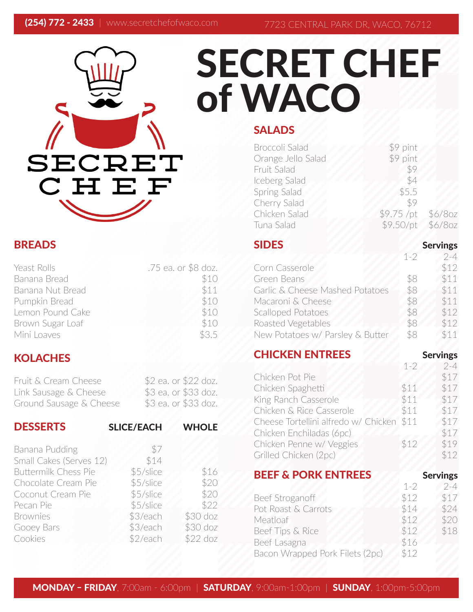# SECRET CHEF

# BREADS

| Yeast Rolls      | .75 ea. or \$8 doz. |
|------------------|---------------------|
| Banana Bread     | \$10                |
| Banana Nut Bread | \$11                |
| Pumpkin Bread    | \$10                |
| Lemon Pound Cake | \$10                |
| Brown Sugar Loaf | \$10                |
| Mini Loaves      | \$3.5               |

# **KOLACHES**

| Fruit & Cream Cheese    | \$2 ea. or \$22 doz. |
|-------------------------|----------------------|
| Link Sausage & Cheese   | \$3 ea. or \$33 doz. |
| Ground Sausage & Cheese | \$3 ea. or \$33 doz. |

| <b>DESSERTS</b>             | <b>SLICE/EACH</b> | <b>WHOLE</b> |
|-----------------------------|-------------------|--------------|
| Banana Pudding              | \$7               |              |
| Small Cakes (Serves 12)     | \$14              |              |
| <b>Buttermilk Chess Pie</b> | \$5/slice         | \$16         |
| Chocolate Cream Pie         | \$5/slice         | \$20         |
| Coconut Cream Pie           | \$5/slice         | \$20         |
| Pecan Pie                   | \$5/slice         | \$22         |
| <b>Brownies</b>             | \$3/each          | \$30 doz     |
| Gooey Bars                  | \$3/each          | \$30 doz     |
| Cookies                     | \$2/each          | $$22$ doz    |

# SECRET CHEF of WACO

# **SALADS**

| <b>Broccoli Salad</b> | \$9 pint    |           |
|-----------------------|-------------|-----------|
| Orange Jello Salad    | \$9 pint    |           |
| Fruit Salad           | \$9         |           |
| Iceberg Salad         | \$4         |           |
| Spring Salad          | \$5.5       |           |
| Cherry Salad          | \$9         |           |
| Chicken Salad         | $$9.75$ /pt | $$6/8$ oz |
| Tuna Salad            | \$9.50/pt   | $$6/8$ oz |
|                       |             |           |

#### SIDES Servings  $1-2$  2-4 Corn Casserole \$12 Green Beans \$8 \$11 Garlic & Cheese Mashed Potatoes \$8 \$11 Macaroni & Cheese 58 \$11 Scalloped Potatoes \$8 \$12 Roasted Vegetables \$8 \$12

New Potatoes w/ Parsley & Butter \$8 \$11

**CHICKEN ENTREES** Servings

|                                           | $1 - 2$ | $2 - 4$          |
|-------------------------------------------|---------|------------------|
| Chicken Pot Pie                           |         | \$17             |
| Chicken Spaghetti                         | \$11    | \$17             |
| King Ranch Casserole                      | \$11    | \$17             |
| Chicken & Rice Casserole                  | \$11    | \$17             |
| Cheese Tortellini alfredo w/ Chicken \$11 |         | \$17             |
| Chicken Enchiladas (6pc)                  |         | \$17             |
| Chicken Penne w/ Veggies                  | \$12    | \$19             |
| Grilled Chicken (2pc)                     |         | \$12             |
| <b>DEEE C. DODK ENTDEES</b>               |         | $C_{\text{max}}$ |

| DEEF & FURR EN I REEJ           |         | Servings |
|---------------------------------|---------|----------|
|                                 | $1 - 2$ | $2 - 4$  |
| Beef Stroganoff                 | \$12    | \$17     |
| Pot Roast & Carrots             | \$14    | \$24     |
| Meatloaf                        | \$12    | \$20     |
| Beef Tips & Rice                | \$12    | \$18     |
| Beef Lasagna                    | \$16    |          |
| Bacon Wrapped Pork Filets (2pc) | \$12    |          |